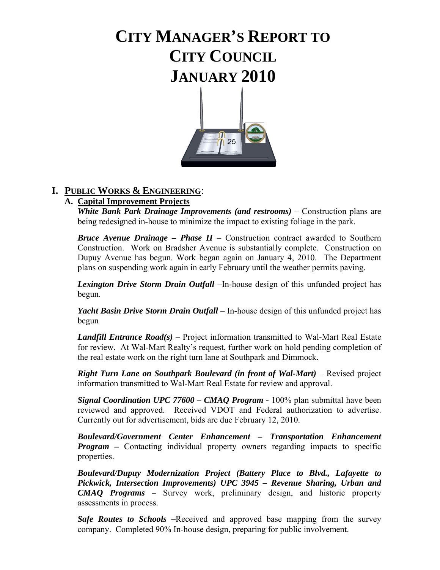# **CITY MANAGER'S REPORT TO CITY COUNCIL JANUARY 2010**



## **I. PUBLIC WORKS & ENGINEERING**:

## **A. Capital Improvement Projects**

*White Bank Park Drainage Improvements (and restrooms) – Construction plans are* being redesigned in-house to minimize the impact to existing foliage in the park.

 *Bruce Avenue Drainage – Phase II* – Construction contract awarded to Southern Construction. Work on Bradsher Avenue is substantially complete. Construction on Dupuy Avenue has begun. Work began again on January 4, 2010. The Department plans on suspending work again in early February until the weather permits paving.

*Lexington Drive Storm Drain Outfall* –In-house design of this unfunded project has begun.

 *Yacht Basin Drive Storm Drain Outfall* – In-house design of this unfunded project has begun

*Landfill Entrance Road(s)* – Project information transmitted to Wal-Mart Real Estate for review. At Wal-Mart Realty's request, further work on hold pending completion of the real estate work on the right turn lane at Southpark and Dimmock.

*Right Turn Lane on Southpark Boulevard (in front of Wal-Mart)* – Revised project information transmitted to Wal-Mart Real Estate for review and approval.

*Signal Coordination UPC 77600 – CMAQ Program - 100% plan submittal have been*  reviewed and approved. Received VDOT and Federal authorization to advertise. Currently out for advertisement, bids are due February 12, 2010.

*Boulevard/Government Center Enhancement – Transportation Enhancement Program –* Contacting individual property owners regarding impacts to specific properties.

 *Boulevard/Dupuy Modernization Project (Battery Place to Blvd., Lafayette to Pickwick, Intersection Improvements) UPC 3945 – Revenue Sharing, Urban and CMAQ Programs* – Survey work, preliminary design, and historic property assessments in process.

 *Safe Routes to Schools* **–**Received and approved base mapping from the survey company. Completed 90% In-house design, preparing for public involvement.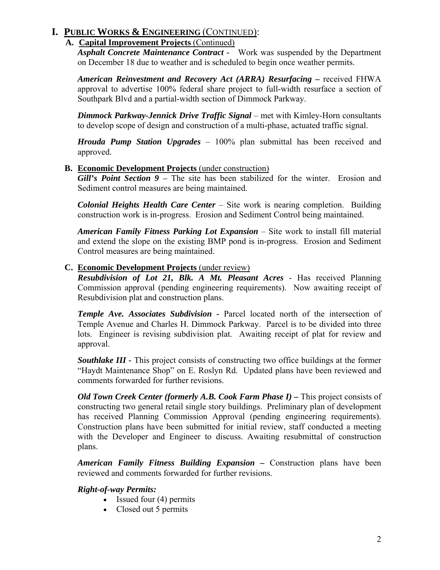## **A. Capital Improvement Projects** (Continued)

*Asphalt Concrete Maintenance Contract -* Work was suspended by the Department on December 18 due to weather and is scheduled to begin once weather permits.

*American Reinvestment and Recovery Act (ARRA) Resurfacing –* received FHWA approval to advertise 100% federal share project to full-width resurface a section of Southpark Blvd and a partial-width section of Dimmock Parkway.

*Dimmock Parkway-Jennick Drive Traffic Signal* – met with Kimley-Horn consultants to develop scope of design and construction of a multi-phase, actuated traffic signal.

*Hrouda Pump Station Upgrades* – 100% plan submittal has been received and approved.

## **B. Economic Development Projects** (under construction)

*Gill's Point Section 9 – The site has been stabilized for the winter. Erosion and* Sediment control measures are being maintained.

*Colonial Heights Health Care Center* – Site work is nearing completion. Building construction work is in-progress. Erosion and Sediment Control being maintained.

*American Family Fitness Parking Lot Expansion* – Site work to install fill material and extend the slope on the existing BMP pond is in-progress. Erosion and Sediment Control measures are being maintained.

## **C. Economic Development Projects** (under review)

*Resubdivision of Lot 21, Blk. A Mt. Pleasant Acres* - Has received Planning Commission approval (pending engineering requirements). Now awaiting receipt of Resubdivision plat and construction plans.

*Temple Ave. Associates Subdivision -* Parcel located north of the intersection of Temple Avenue and Charles H. Dimmock Parkway. Parcel is to be divided into three lots. Engineer is revising subdivision plat. Awaiting receipt of plat for review and approval.

*Southlake III -* This project consists of constructing two office buildings at the former "Haydt Maintenance Shop" on E. Roslyn Rd. Updated plans have been reviewed and comments forwarded for further revisions.

*Old Town Creek Center (formerly A.B. Cook Farm Phase I) –* This project consists of constructing two general retail single story buildings. Preliminary plan of development has received Planning Commission Approval (pending engineering requirements). Construction plans have been submitted for initial review, staff conducted a meeting with the Developer and Engineer to discuss. Awaiting resubmittal of construction plans.

*American Family Fitness Building Expansion –* Construction plans have been reviewed and comments forwarded for further revisions.

## *Right-of-way Permits:*

- Issued four (4) permits
- Closed out 5 permits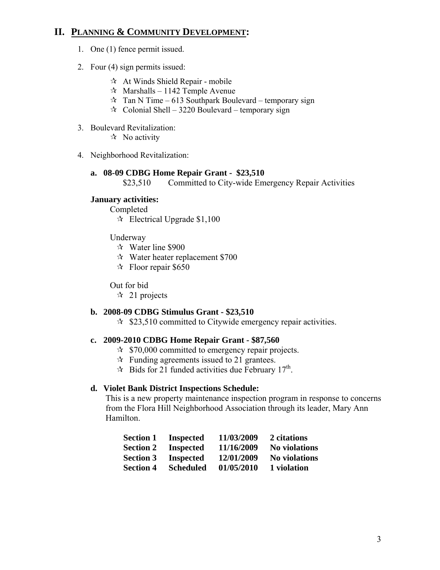## **II. PLANNING & COMMUNITY DEVELOPMENT:**

- 1. One (1) fence permit issued.
- 2. Four (4) sign permits issued:
	- $\mathcal{A}$  At Winds Shield Repair mobile
	- $\approx$  Marshalls 1142 Temple Avenue
	- $\hat{x}$  Tan N Time 613 Southpark Boulevard temporary sign
	- $\approx$  Colonial Shell 3220 Boulevard temporary sign
- 3. Boulevard Revitalization:
	- $\mathbf{\hat{x}}$  No activity
- 4. Neighborhood Revitalization:

#### **a. 08-09 CDBG Home Repair Grant - \$23,510**

\$23,510 Committed to City-wide Emergency Repair Activities

#### **January activities:**

Completed

 $\approx$  Electrical Upgrade \$1,100

#### Underway

- Water line \$900
- Water heater replacement \$700
- $\approx$  Floor repair \$650

Out for bid

 $\approx$  21 projects

#### **b. 2008-09 CDBG Stimulus Grant - \$23,510**

 $\approx$  \$23,510 committed to Citywide emergency repair activities.

#### **c. 2009-2010 CDBG Home Repair Grant - \$87,560**

- $\approx$  \$70,000 committed to emergency repair projects.
- $\mathcal{R}$  Funding agreements issued to 21 grantees.
- $\approx$  Bids for 21 funded activities due February 17<sup>th</sup>.

#### **d. Violet Bank District Inspections Schedule:**

This is a new property maintenance inspection program in response to concerns from the Flora Hill Neighborhood Association through its leader, Mary Ann Hamilton.

| <b>Section 1</b> | <b>Inspected</b> | 11/03/2009 | 2 citations          |
|------------------|------------------|------------|----------------------|
| <b>Section 2</b> | <b>Inspected</b> | 11/16/2009 | <b>No violations</b> |
| <b>Section 3</b> | <b>Inspected</b> | 12/01/2009 | <b>No violations</b> |
| <b>Section 4</b> | <b>Scheduled</b> | 01/05/2010 | 1 violation          |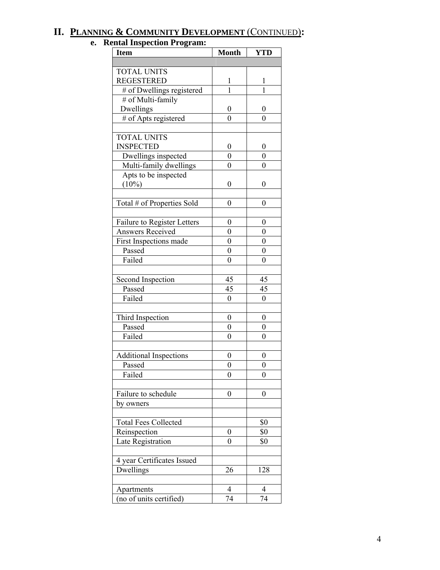## **II. PLANNING & COMMUNITY DEVELOPMENT** (CONTINUED)**:**

#### **e. Rental Inspection Program:**

| <b>Item</b>                   | <b>Month</b>     | <b>YTD</b>       |
|-------------------------------|------------------|------------------|
|                               |                  |                  |
| <b>TOTAL UNITS</b>            |                  |                  |
| <b>REGESTERED</b>             | 1                | 1                |
| # of Dwellings registered     | 1                | 1                |
| # of Multi-family             |                  |                  |
| Dwellings                     | $\boldsymbol{0}$ | 0                |
| # of Apts registered          | $\overline{0}$   | $\overline{0}$   |
|                               |                  |                  |
| <b>TOTAL UNITS</b>            |                  |                  |
| <b>INSPECTED</b>              | 0                | 0                |
| Dwellings inspected           | $\overline{0}$   | $\overline{0}$   |
| Multi-family dwellings        | $\overline{0}$   | $\overline{0}$   |
| Apts to be inspected          |                  |                  |
| (10%)                         | 0                | 0                |
|                               |                  |                  |
| Total # of Properties Sold    | 0                | 0                |
|                               |                  |                  |
| Failure to Register Letters   | 0                | 0                |
| <b>Answers Received</b>       | $\overline{0}$   | $\overline{0}$   |
| First Inspections made        | 0                | 0                |
| Passed                        | $\overline{0}$   | $\boldsymbol{0}$ |
| Failed                        | $\overline{0}$   | $\overline{0}$   |
|                               |                  |                  |
| Second Inspection             | 45               | 45               |
| Passed                        | 45               | 45               |
| Failed                        | $\overline{0}$   | $\boldsymbol{0}$ |
|                               |                  |                  |
| Third Inspection              | 0                | 0                |
| Passed                        | $\overline{0}$   | 0                |
| Failed                        | $\overline{0}$   | $\overline{0}$   |
|                               |                  |                  |
| <b>Additional Inspections</b> | 0                | 0                |
| Passed                        | $\overline{0}$   | $\boldsymbol{0}$ |
| Failed                        | 0                | 0                |
|                               |                  |                  |
| Failure to schedule           | 0                | 0                |
| by owners                     |                  |                  |
| <b>Total Fees Collected</b>   |                  | \$0              |
| Reinspection                  | 0                | \$0              |
|                               |                  |                  |
| Late Registration             | 0                | \$0              |
| 4 year Certificates Issued    |                  |                  |
| Dwellings                     | 26               | 128              |
|                               |                  |                  |
| Apartments                    | 4                | 4                |
| (no of units certified)       | 74               | 74               |
|                               |                  |                  |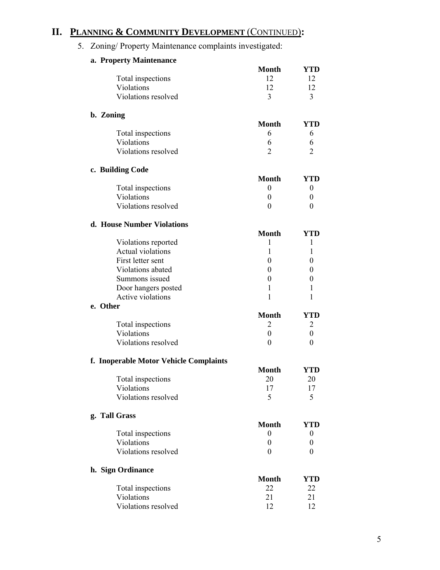## **II. PLANNING & COMMUNITY DEVELOPMENT** (CONTINUED)**:**

## 5. Zoning/ Property Maintenance complaints investigated:

|           | a. Property Maintenance                |                  |                  |
|-----------|----------------------------------------|------------------|------------------|
|           |                                        | <b>Month</b>     | <b>YTD</b>       |
|           | Total inspections                      | 12               | 12               |
|           | Violations                             | 12               | 12               |
|           | Violations resolved                    | 3                | 3                |
| b. Zoning |                                        |                  |                  |
|           |                                        | <b>Month</b>     | <b>YTD</b>       |
|           | Total inspections                      | 6                | 6                |
|           | Violations                             | 6                | 6                |
|           | Violations resolved                    | 2                | $\overline{2}$   |
|           | c. Building Code                       |                  |                  |
|           |                                        | <b>Month</b>     | YTD              |
|           | Total inspections                      | $\boldsymbol{0}$ | 0                |
|           | Violations                             | $\boldsymbol{0}$ | $\theta$         |
|           | Violations resolved                    | $\boldsymbol{0}$ | $\theta$         |
|           | d. House Number Violations             |                  |                  |
|           |                                        | <b>Month</b>     | YTD              |
|           | Violations reported                    | $\mathbf{1}$     | 1                |
|           | Actual violations                      | 1                | 1                |
|           | First letter sent                      | $\theta$         | $\theta$         |
|           | Violations abated                      | $\theta$         | $\theta$         |
|           | Summons issued                         | 0                | 0                |
|           | Door hangers posted                    | 1                | 1                |
|           | Active violations                      | 1                | 1                |
| e. Other  |                                        |                  |                  |
|           |                                        | <b>Month</b>     | <b>YTD</b>       |
|           | Total inspections                      | $\overline{2}$   | 2                |
|           | Violations                             | $\boldsymbol{0}$ | $\boldsymbol{0}$ |
|           | Violations resolved                    | $\theta$         | $\theta$         |
|           | f. Inoperable Motor Vehicle Complaints |                  |                  |
|           |                                        | <b>Month</b>     | <b>YTD</b>       |
|           | Total inspections                      | 20               | 20               |
|           | Violations                             | 17               | 17               |
|           | Violations resolved                    | 5                | 5                |
|           | g. Tall Grass                          |                  |                  |
|           |                                        | <b>Month</b>     | <b>YTD</b>       |
|           | Total inspections                      | 0                | 0                |
|           | Violations                             | 0                | 0                |
|           | Violations resolved                    | $\boldsymbol{0}$ | $\theta$         |
|           | h. Sign Ordinance                      |                  |                  |
|           |                                        | <b>Month</b>     | YTD              |
|           | Total inspections                      | 22               | 22               |
|           | Violations                             | 21               | 21               |
|           | Violations resolved                    | 12               | 12               |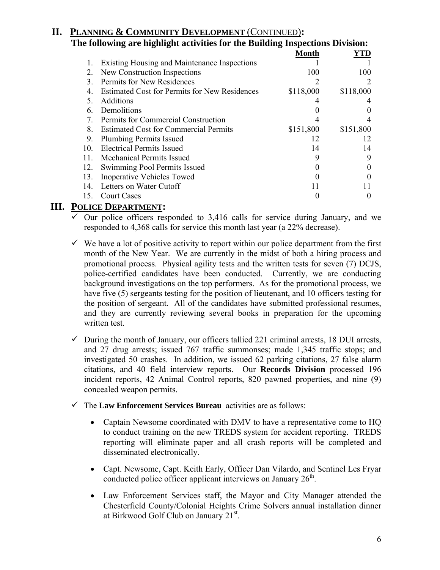#### **II. PLANNING & COMMUNITY DEVELOPMENT** (CONTINUED)**: The following are highlight activities for the Building Inspections Division: Month YTD** 1. Existing Housing and Maintenance Inspections 1 1 2. New Construction Inspections 3. Permits for New Residences 2 2 4. Estimated Cost for Permits for New Residences \$118,000 \$118,000 5. Additions 4 4 6. Demolitions 0 0 7. Permits for Commercial Construction 4 4 8. Estimated Cost for Commercial Permits \$151,800 \$151,800 9. Plumbing Permits Issued 12 12 10. Electrical Permits Issued 14 14 14 11. Mechanical Permits Issued 9 9 12. Swimming Pool Permits Issued 0 0

13. Inoperative Vehicles Towed 0 0 14. Letters on Water Cutoff 11 11 11

## 15. Court Cases 0 0

## **III. POLICE DEPARTMENT:**

- $\checkmark$  Our police officers responded to 3,416 calls for service during January, and we responded to 4,368 calls for service this month last year (a 22% decrease).
- $\checkmark$  We have a lot of positive activity to report within our police department from the first month of the New Year. We are currently in the midst of both a hiring process and promotional process. Physical agility tests and the written tests for seven (7) DCJS, police-certified candidates have been conducted. Currently, we are conducting background investigations on the top performers. As for the promotional process, we have five (5) sergeants testing for the position of lieutenant, and 10 officers testing for the position of sergeant. All of the candidates have submitted professional resumes, and they are currently reviewing several books in preparation for the upcoming written test.
- $\checkmark$  During the month of January, our officers tallied 221 criminal arrests, 18 DUI arrests, and 27 drug arrests; issued 767 traffic summonses; made 1,345 traffic stops; and investigated 50 crashes. In addition, we issued 62 parking citations, 27 false alarm citations, and 40 field interview reports. Our **Records Division** processed 196 incident reports, 42 Animal Control reports, 820 pawned properties, and nine (9) concealed weapon permits.
- 9 The **Law Enforcement Services Bureau** activities are as follows:
	- Captain Newsome coordinated with DMV to have a representative come to HQ to conduct training on the new TREDS system for accident reporting. TREDS reporting will eliminate paper and all crash reports will be completed and disseminated electronically.
	- Capt. Newsome, Capt. Keith Early, Officer Dan Vilardo, and Sentinel Les Fryar conducted police officer applicant interviews on January  $26<sup>th</sup>$ .
	- Law Enforcement Services staff, the Mayor and City Manager attended the Chesterfield County/Colonial Heights Crime Solvers annual installation dinner at Birkwood Golf Club on January 21<sup>st</sup>.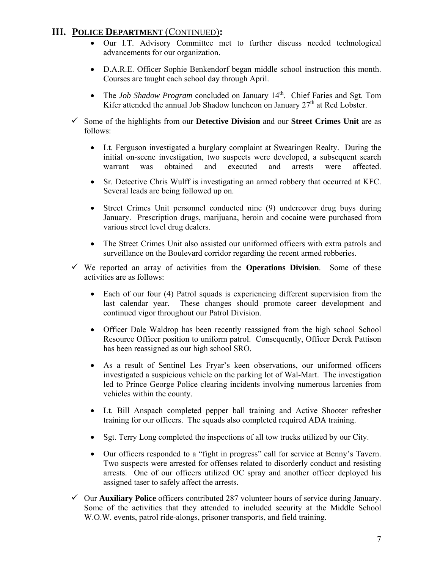## **III. POLICE DEPARTMENT** (CONTINUED)**:**

- Our I.T. Advisory Committee met to further discuss needed technological advancements for our organization.
- D.A.R.E. Officer Sophie Benkendorf began middle school instruction this month. Courses are taught each school day through April.
- The *Job Shadow Program* concluded on January 14<sup>th</sup>. Chief Faries and Sgt. Tom Kifer attended the annual Job Shadow luncheon on January 27<sup>th</sup> at Red Lobster.
- 9 Some of the highlights from our **Detective Division** and our **Street Crimes Unit** are as follows:
	- Lt. Ferguson investigated a burglary complaint at Swearingen Realty. During the initial on-scene investigation, two suspects were developed, a subsequent search warrant was obtained and executed and arrests were affected.
	- Sr. Detective Chris Wulff is investigating an armed robbery that occurred at KFC. Several leads are being followed up on.
	- Street Crimes Unit personnel conducted nine (9) undercover drug buys during January. Prescription drugs, marijuana, heroin and cocaine were purchased from various street level drug dealers.
	- The Street Crimes Unit also assisted our uniformed officers with extra patrols and surveillance on the Boulevard corridor regarding the recent armed robberies.
- $\checkmark$  We reported an array of activities from the **Operations Division**. Some of these activities are as follows:
	- Each of our four (4) Patrol squads is experiencing different supervision from the last calendar year. These changes should promote career development and continued vigor throughout our Patrol Division.
	- Officer Dale Waldrop has been recently reassigned from the high school School Resource Officer position to uniform patrol. Consequently, Officer Derek Pattison has been reassigned as our high school SRO.
	- As a result of Sentinel Les Fryar's keen observations, our uniformed officers investigated a suspicious vehicle on the parking lot of Wal-Mart. The investigation led to Prince George Police clearing incidents involving numerous larcenies from vehicles within the county.
	- Lt. Bill Anspach completed pepper ball training and Active Shooter refresher training for our officers. The squads also completed required ADA training.
	- Sgt. Terry Long completed the inspections of all tow trucks utilized by our City.
	- Our officers responded to a "fight in progress" call for service at Benny's Tavern. Two suspects were arrested for offenses related to disorderly conduct and resisting arrests. One of our officers utilized OC spray and another officer deployed his assigned taser to safely affect the arrests.
- 9 Our **Auxiliary Police** officers contributed 287 volunteer hours of service during January. Some of the activities that they attended to included security at the Middle School W.O.W. events, patrol ride-alongs, prisoner transports, and field training.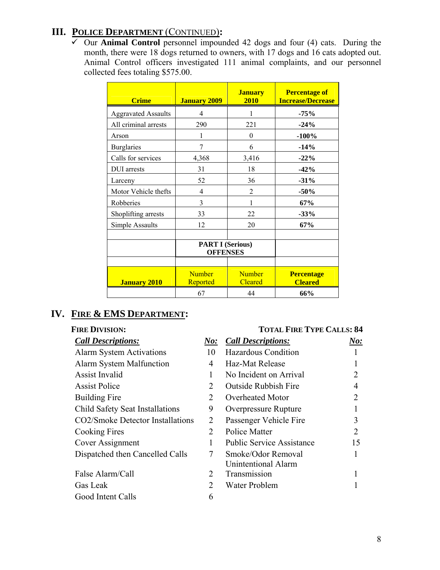## **III. POLICE DEPARTMENT** (CONTINUED)**:**

 $\overline{\smash[b]{\mathsf{C}}}$  Our **Animal Control** personnel impounded 42 dogs and four (4) cats. During the month, there were 18 dogs returned to owners, with 17 dogs and 16 cats adopted out. Animal Control officers investigated 111 animal complaints, and our personnel collected fees totaling \$575.00.

| <b>Crime</b>               | <b>January 2009</b>                        | <b>January</b><br>2010          | <b>Percentage of</b><br><b>Increase/Decrease</b> |
|----------------------------|--------------------------------------------|---------------------------------|--------------------------------------------------|
| <b>Aggravated Assaults</b> | 4                                          | 1                               | $-75%$                                           |
| All criminal arrests       | 290                                        | 221                             | $-24%$                                           |
| Arson                      | 1                                          | $\theta$                        | $-100%$                                          |
| <b>Burglaries</b>          | 7                                          | 6                               | $-14%$                                           |
| Calls for services         | 4,368                                      | 3,416                           | $-22%$                                           |
| <b>DUI</b> arrests         | 31                                         | 18                              | $-42%$                                           |
| Larceny                    | 52                                         | 36                              | $-31%$                                           |
| Motor Vehicle thefts       | 4                                          | $\overline{2}$                  | $-50%$                                           |
| Robberies                  | 3                                          | 1                               | 67%                                              |
| Shoplifting arrests        | 33                                         | 22                              | $-33%$                                           |
| Simple Assaults            | 12                                         | 20                              | 67%                                              |
|                            | <b>PART I (Serious)</b><br><b>OFFENSES</b> |                                 |                                                  |
| <b>January 2010</b>        | <b>Number</b><br>Reported                  | <b>Number</b><br><b>Cleared</b> | <b>Percentage</b><br><b>Cleared</b>              |
|                            | 67                                         | 44                              | 66%                                              |

## **IV. FIRE & EMS DEPARTMENT:**

| <b>Call Descriptions:</b>        | No: | <b>Call Descriptions:</b>        | $\boldsymbol{\it No:}$ |
|----------------------------------|-----|----------------------------------|------------------------|
| <b>Alarm System Activations</b>  | 10  | Hazardous Condition              |                        |
| Alarm System Malfunction         | 4   | Haz-Mat Release                  |                        |
| Assist Invalid                   |     | No Incident on Arrival           |                        |
| <b>Assist Police</b>             | 2   | <b>Outside Rubbish Fire</b>      | 4                      |
| Building Fire                    | 2   | Overheated Motor                 |                        |
| Child Safety Seat Installations  | 9   | <b>Overpressure Rupture</b>      |                        |
| CO2/Smoke Detector Installations | 2   | Passenger Vehicle Fire           | 3                      |
| Cooking Fires                    | 2   | Police Matter                    | 2                      |
| Cover Assignment                 | 1   | <b>Public Service Assistance</b> | 15                     |
| Dispatched then Cancelled Calls  | 7   | Smoke/Odor Removal               |                        |
|                                  |     | <b>Unintentional Alarm</b>       |                        |
| False Alarm/Call                 | 2   | Transmission                     |                        |
| Gas Leak                         | 2   | Water Problem                    |                        |
| Good Intent Calls                | 6   |                                  |                        |

## **FIRE DIVISION: TOTAL FIRE TYPE CALLS: 84**

| <b>Call Descriptions:</b>              | N o:                        | <b>Call Descriptions:</b>        | $\boldsymbol{\it No:}$ |
|----------------------------------------|-----------------------------|----------------------------------|------------------------|
| <b>Alarm System Activations</b>        | 10                          | Hazardous Condition              |                        |
| <b>Alarm System Malfunction</b>        | 4                           | Haz-Mat Release                  |                        |
| <b>Assist Invalid</b>                  |                             | No Incident on Arrival           |                        |
| <b>Assist Police</b>                   | 2                           | <b>Outside Rubbish Fire</b>      | 4                      |
| <b>Building Fire</b>                   | 2                           | Overheated Motor                 | 2                      |
| <b>Child Safety Seat Installations</b> | 9                           | <b>Overpressure Rupture</b>      |                        |
| CO2/Smoke Detector Installations       | 2                           | Passenger Vehicle Fire           | 3                      |
| Cooking Fires                          | 2                           | Police Matter                    | 2                      |
| Cover Assignment                       | 1                           | <b>Public Service Assistance</b> | 15                     |
| Dispatched then Cancelled Calls        | 7                           | Smoke/Odor Removal               |                        |
|                                        |                             | <b>Unintentional Alarm</b>       |                        |
| False Alarm/Call                       | 2                           | Transmission                     |                        |
| Gas Leak                               | $\mathcal{D}_{\mathcal{L}}$ | Water Problem                    |                        |
|                                        |                             |                                  |                        |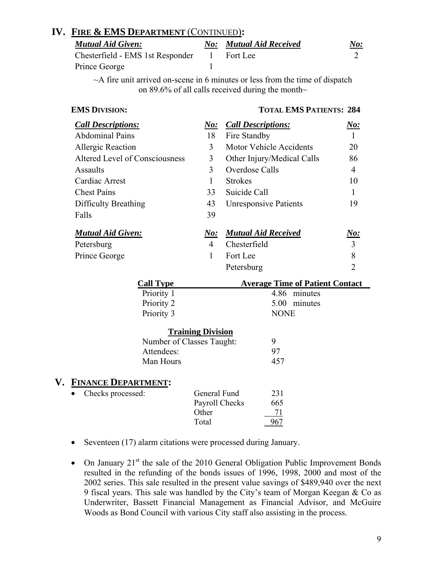## **IV. FIRE & EMS DEPARTMENT** (CONTINUED)**:**

| <b>Mutual Aid Given:</b>                    | <b>No:</b> Mutual Aid Received | <u>No:</u> |
|---------------------------------------------|--------------------------------|------------|
| Chesterfield - EMS 1st Responder 1 Fort Lee |                                |            |
| Prince George                               |                                |            |

 $\sim$ A fire unit arrived on-scene in 6 minutes or less from the time of dispatch on 89.6% of all calls received during the month $\sim$ 

## **EMS DIVISION:** TOTAL **EMS PATIENTS: 284**

| <b>Call Descriptions:</b>      | <u>No:</u>               | <b>Call Descriptions:</b>              | <u>No:</u>     |
|--------------------------------|--------------------------|----------------------------------------|----------------|
| <b>Abdominal Pains</b>         | 18                       | Fire Standby                           | 1              |
| Allergic Reaction              | 3                        | <b>Motor Vehicle Accidents</b>         | 20             |
| Altered Level of Consciousness | 3                        | Other Injury/Medical Calls             | 86             |
| <b>Assaults</b>                | 3                        | Overdose Calls                         | $\overline{4}$ |
| Cardiac Arrest                 | 1                        | <b>Strokes</b>                         | 10             |
| <b>Chest Pains</b>             | 33                       | Suicide Call                           | $\mathbf{1}$   |
| Difficulty Breathing           | 43                       | <b>Unresponsive Patients</b>           | 19             |
| Falls                          | 39                       |                                        |                |
| <b>Mutual Aid Given:</b>       | N o:                     | <b>Mutual Aid Received</b>             | <u>No:</u>     |
| Petersburg                     | $\overline{4}$           | Chesterfield                           | 3              |
| Prince George                  | 1                        | Fort Lee                               | 8              |
|                                |                          | Petersburg                             | $\overline{2}$ |
| <b>Call Type</b>               |                          | <b>Average Time of Patient Contact</b> |                |
| Priority 1                     |                          | 4.86 minutes                           |                |
| Priority 2                     |                          | 5.00 minutes                           |                |
| Priority 3                     |                          | <b>NONE</b>                            |                |
|                                | <b>Training Division</b> |                                        |                |
| Number of Classes Taught:      |                          | 9                                      |                |
| Attendees:                     |                          | 97                                     |                |
| Man Hours                      |                          | 457                                    |                |

## **V. FINANCE DEPARTMENT:**

| General Fund<br>231   |
|-----------------------|
| Payroll Checks<br>665 |
| Other                 |
| Total                 |
|                       |

- Seventeen (17) alarm citations were processed during January.
- On January  $21^{st}$  the sale of the 2010 General Obligation Public Improvement Bonds resulted in the refunding of the bonds issues of 1996, 1998, 2000 and most of the 2002 series. This sale resulted in the present value savings of \$489,940 over the next 9 fiscal years. This sale was handled by the City's team of Morgan Keegan & Co as Underwriter, Bassett Financial Management as Financial Advisor, and McGuire Woods as Bond Council with various City staff also assisting in the process.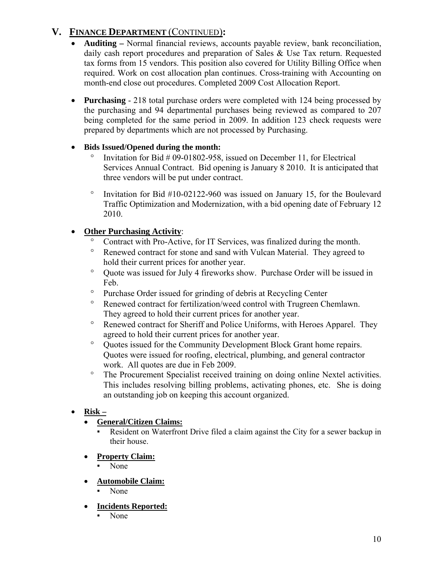## **V. FINANCE DEPARTMENT** (CONTINUED)**:**

- **Auditing** Normal financial reviews, accounts payable review, bank reconciliation, daily cash report procedures and preparation of Sales & Use Tax return. Requested tax forms from 15 vendors. This position also covered for Utility Billing Office when required. Work on cost allocation plan continues. Cross-training with Accounting on month-end close out procedures. Completed 2009 Cost Allocation Report.
- **Purchasing**  218 total purchase orders were completed with 124 being processed by the purchasing and 94 departmental purchases being reviewed as compared to 207 being completed for the same period in 2009. In addition 123 check requests were prepared by departments which are not processed by Purchasing.

## • **Bids Issued/Opened during the month:**

- $\degree$  Invitation for Bid # 09-01802-958, issued on December 11, for Electrical Services Annual Contract. Bid opening is January 8 2010. It is anticipated that three vendors will be put under contract.
- ° Invitation for Bid #10-02122-960 was issued on January 15, for the Boulevard Traffic Optimization and Modernization, with a bid opening date of February 12 2010.

## • **Other Purchasing Activity**:

- ° Contract with Pro-Active, for IT Services, was finalized during the month.
- ° Renewed contract for stone and sand with Vulcan Material. They agreed to hold their current prices for another year.
- ° Quote was issued for July 4 fireworks show. Purchase Order will be issued in Feb.
- ° Purchase Order issued for grinding of debris at Recycling Center
- ° Renewed contract for fertilization/weed control with Trugreen Chemlawn. They agreed to hold their current prices for another year.
- ° Renewed contract for Sheriff and Police Uniforms, with Heroes Apparel. They agreed to hold their current prices for another year.
- ° Quotes issued for the Community Development Block Grant home repairs. Quotes were issued for roofing, electrical, plumbing, and general contractor work. All quotes are due in Feb 2009.
- ° The Procurement Specialist received training on doing online Nextel activities. This includes resolving billing problems, activating phones, etc. She is doing an outstanding job on keeping this account organized.

## • **Risk –**

## • **General/Citizen Claims:**

- Resident on Waterfront Drive filed a claim against the City for a sewer backup in their house.
- **Property Claim:**
	- None
- **Automobile Claim:**
	- None
- **Incidents Reported:**
	- None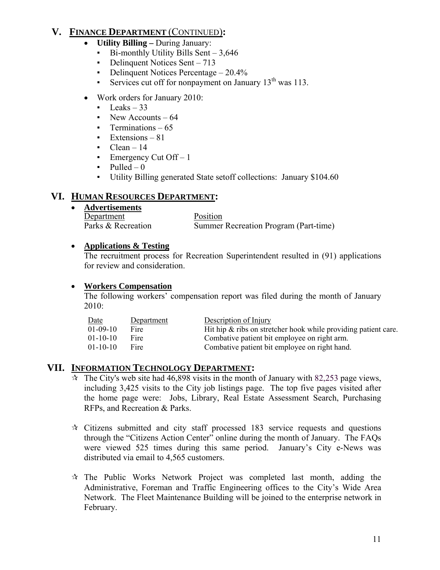## **V. FINANCE DEPARTMENT** (CONTINUED)**:**

- **Utility Billing** During January:
	- $\blacksquare$  Bi-monthly Utility Bills Sent 3.646
	- Delinquent Notices Sent 713
	- Delinquent Notices Percentage 20.4%
	- Services cut off for nonpayment on January  $13<sup>th</sup>$  was 113.
- Work orders for January 2010:
	- $\text{Leaks} 33$
	- $\cdot$  New Accounts 64
	- $\blacksquare$  Terminations 65
	- $Extensions 81$
	- $\blacksquare$  Clean 14
	- **•** Emergency Cut Off  $-1$
	- $\nu$  Pulled 0
	- Utility Billing generated State setoff collections: January \$104.60

## **VI. HUMAN RESOURCES DEPARTMENT:**

• **Advertisements**

Department Position Parks & Recreation Summer Recreation Program (Part-time)

## • **Applications & Testing**

 The recruitment process for Recreation Superintendent resulted in (91) applications for review and consideration.

## • **Workers Compensation**

The following workers' compensation report was filed during the month of January 2010:

| Date           | Department | Description of Injury                                             |
|----------------|------------|-------------------------------------------------------------------|
| $01 - 09 - 10$ | Fire       | Hit hip $\&$ ribs on stretcher hook while providing patient care. |
| $01-10-10$     | Fire       | Combative patient bit employee on right arm.                      |
| $01-10-10$     | Fire       | Combative patient bit employee on right hand.                     |

## **VII. INFORMATION TECHNOLOGY DEPARTMENT:**

- $\dot{\mathbf{x}}$  The City's web site had 46,898 visits in the month of January with 82,253 page views, including 3,425 visits to the City job listings page. The top five pages visited after the home page were: Jobs, Library, Real Estate Assessment Search, Purchasing RFPs, and Recreation & Parks.
- $\approx$  Citizens submitted and city staff processed 183 service requests and questions through the "Citizens Action Center" online during the month of January. The FAQs were viewed 525 times during this same period. January's City e-News was distributed via email to 4,565 customers.
- $\mathcal{R}$  The Public Works Network Project was completed last month, adding the Administrative, Foreman and Traffic Engineering offices to the City's Wide Area Network. The Fleet Maintenance Building will be joined to the enterprise network in February.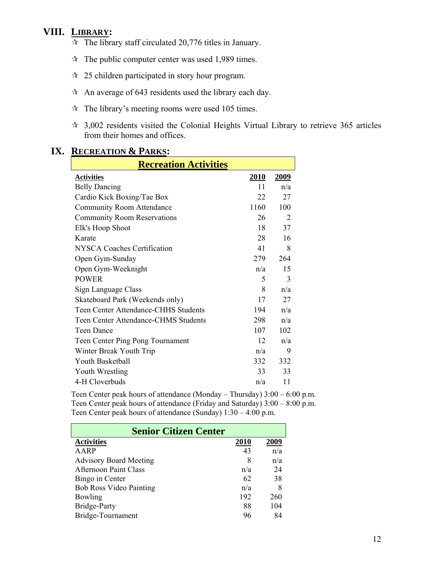## **VIII. LIBRARY:**

- $\approx$  The library staff circulated 20,776 titles in January.
- $\approx$  The public computer center was used 1,989 times.
- $\approx$  25 children participated in story hour program.
- $\hat{x}$  An average of 643 residents used the library each day.
- $\hat{x}$  The library's meeting rooms were used 105 times.
- 3,002 residents visited the Colonial Heights Virtual Library to retrieve 365 articles from their homes and offices.

| $\mathbf{v}$ . The set of $\mathbf{v}$<br>$\blacksquare$<br><b>Recreation Activities</b> |      |                |  |  |
|------------------------------------------------------------------------------------------|------|----------------|--|--|
| <b>Activities</b>                                                                        | 2010 | 2009           |  |  |
| <b>Belly Dancing</b>                                                                     | 11   | n/a            |  |  |
| Cardio Kick Boxing/Tae Box                                                               | 22   | 27             |  |  |
| <b>Community Room Attendance</b>                                                         | 1160 | 100            |  |  |
| <b>Community Room Reservations</b>                                                       | 26   | $\overline{2}$ |  |  |
| Elk's Hoop Shoot                                                                         | 18   | 37             |  |  |
| Karate                                                                                   | 28   | 16             |  |  |
| <b>NYSCA Coaches Certification</b>                                                       | 41   | 8              |  |  |
| Open Gym-Sunday                                                                          | 279  | 264            |  |  |
| Open Gym-Weeknight                                                                       | n/a  | 15             |  |  |
| <b>POWER</b>                                                                             | 5    | 3              |  |  |
| Sign Language Class                                                                      | 8    | n/a            |  |  |
| Skateboard Park (Weekends only)                                                          | 17   | 27             |  |  |
| <b>Teen Center Attendance-CHHS Students</b>                                              | 194  | n/a            |  |  |
| <b>Teen Center Attendance-CHMS Students</b>                                              | 298  | n/a            |  |  |
| <b>Teen Dance</b>                                                                        | 107  | 102            |  |  |
| Teen Center Ping Pong Tournament                                                         | 12   | n/a            |  |  |
| Winter Break Youth Trip                                                                  | n/a  | 9              |  |  |
| Youth Basketball                                                                         | 332  | 332            |  |  |
| Youth Wrestling                                                                          | 33   | 33             |  |  |
| 4-H Cloverbuds                                                                           | n/a  | 11             |  |  |

#### **IX. RECREATION & PARKS:**

Teen Center peak hours of attendance (Monday – Thursday) 3:00 – 6:00 p.m. Teen Center peak hours of attendance (Friday and Saturday) 3:00 – 8:00 p.m. Teen Center peak hours of attendance (Sunday) 1:30 – 4:00 p.m.

| <b>Senior Citizen Center</b>   |      |      |
|--------------------------------|------|------|
| <b>Activities</b>              | 2010 | 2009 |
| AARP                           | 43   | n/a  |
| <b>Advisory Board Meeting</b>  | 8    | n/a  |
| <b>Afternoon Paint Class</b>   | n/a  | 24   |
| Bingo in Center                | 62   | 38   |
| <b>Bob Ross Video Painting</b> | n/a  | 8    |
| Bowling                        | 192  | 260  |
| Bridge-Party                   | 88   | 104  |
| Bridge-Tournament              | 96   | 84   |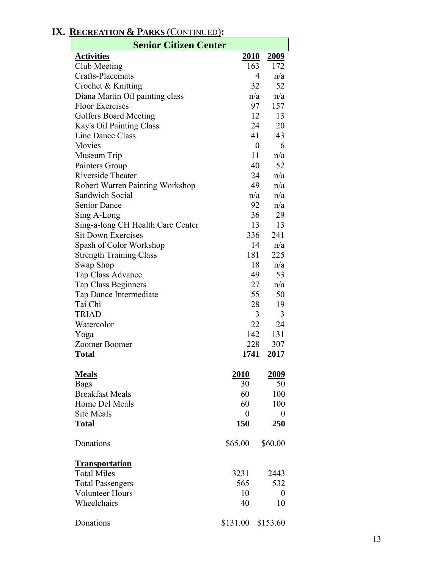## **Senior Citizen Center Activities 2010 2009** Club Meeting 163 172<br>Crafts-Placemats 4 n/a Crafts-Placemats 4 n/a Crochet & Knitting 32 52 Diana Martin Oil painting class n/a n/a Floor Exercises 97 157 Golfers Board Meeting 12 13 Kay's Oil Painting Class 24 20 Line Dance Class 41 43 Movies 0 6 Museum Trip  $11 \quad n/a$ Painters Group 40 52 Riverside Theater 24 n/a Robert Warren Painting Workshop 49 n/a Sandwich Social  $n/a$  n/a Senior Dance 92 n/a  $\text{Sing A-Long}$  36 29 Sing-a-long CH Health Care Center 13 13 Sit Down Exercises 336 241 Spash of Color Workshop 14 n/a Strength Training Class 181 225 Swap Shop 18 n/a Tap Class Advance 49 53 Tap Class Beginners 27 n/a Tap Dance Intermediate 55 50 Tai Chi 28 19 TRIAD 3 3 Watercolor 22 24 Yoga 142 131 Zoomer Boomer 228 307 **Total 1741 2017 Meals 2010 2009** Bags  $30$  50 Breakfast Meals 60 100 Home Del Meals 60 100 Site Meals 0 0 0 0 **Total 150 250** Donations \$65.00 \$60.00 **Transportation** Total Miles 3231 2443 Total Passengers 565 532 Volunteer Hours 10 0 Wheelchairs 40 10 Donations \$131.00 \$153.60

## **IX. RECREATION & PARKS** (CONTINUED)**:**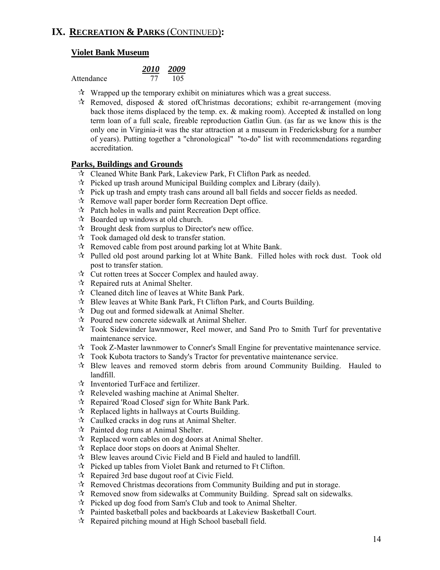## **Violet Bank Museum**

Attendance

| 2010 | 2009 |
|------|------|
|      | 105  |

- $\mathcal{R}$  Wrapped up the temporary exhibit on miniatures which was a great success.
- $\mathcal{R}$  Removed, disposed & stored of Christmas decorations; exhibit re-arrangement (moving back those items displaced by the temp. ex.  $\&$  making room). Accepted  $\&$  installed on long term loan of a full scale, fireable reproduction Gatlin Gun. (as far as we know this is the only one in Virginia-it was the star attraction at a museum in Fredericksburg for a number of years). Putting together a "chronological" "to-do" list with recommendations regarding accreditation.

## **Parks, Buildings and Grounds**

- Cleaned White Bank Park, Lakeview Park, Ft Clifton Park as needed.
- $\hat{x}$  Picked up trash around Municipal Building complex and Library (daily).
- $\hat{\mathcal{R}}$  Pick up trash and empty trash cans around all ball fields and soccer fields as needed.
- $\mathcal{R}$  Remove wall paper border form Recreation Dept office.
- $\mathcal{R}$  Patch holes in walls and paint Recreation Dept office.
- $\mathcal{R}$  Boarded up windows at old church.
- $\mathcal{R}$  Brought desk from surplus to Director's new office.
- $\mathcal{R}$  Took damaged old desk to transfer station.
- $\mathcal{R}$  Removed cable from post around parking lot at White Bank.
- $\mathcal{R}$  Pulled old post around parking lot at White Bank. Filled holes with rock dust. Took old post to transfer station.
- Cut rotten trees at Soccer Complex and hauled away.
- $\forall$  Repaired ruts at Animal Shelter.
- Cleaned ditch line of leaves at White Bank Park.
- Blew leaves at White Bank Park, Ft Clifton Park, and Courts Building.
- $\mathcal{R}$  Dug out and formed sidewalk at Animal Shelter.
- Poured new concrete sidewalk at Animal Shelter.
- $\mathcal{R}$  Took Sidewinder lawnmower, Reel mower, and Sand Pro to Smith Turf for preventative maintenance service.
- Took Z-Master lawnmower to Conner's Small Engine for preventative maintenance service.
- Took Kubota tractors to Sandy's Tractor for preventative maintenance service.
- $\mathcal{R}$  Blew leaves and removed storm debris from around Community Building. Hauled to landfill.
- $\mathbf{\hat{x}}$  Inventoried TurFace and fertilizer.
- $\mathcal{R}$  Releveled washing machine at Animal Shelter.
- $\mathcal{R}$  Repaired 'Road Closed' sign for White Bank Park.
- $\mathcal{R}$  Replaced lights in hallways at Courts Building.
- $\mathcal{R}$  Caulked cracks in dog runs at Animal Shelter.
- $\mathcal{R}$  Painted dog runs at Animal Shelter.
- $\mathcal{R}$  Replaced worn cables on dog doors at Animal Shelter.
- $\mathcal{R}$  Replace door stops on doors at Animal Shelter.
- $\mathcal{R}$  Blew leaves around Civic Field and B Field and hauled to landfill.
- $\mathcal{R}$  Picked up tables from Violet Bank and returned to Ft Clifton.
- $\mathcal{R}$  Repaired 3rd base dugout roof at Civic Field.
- $\mathcal{R}$  Removed Christmas decorations from Community Building and put in storage.
- $\mathcal{R}$  Removed snow from sidewalks at Community Building. Spread salt on sidewalks.
- $\mathcal{R}$  Picked up dog food from Sam's Club and took to Animal Shelter.
- Painted basketball poles and backboards at Lakeview Basketball Court.
- $\mathcal{R}$  Repaired pitching mound at High School baseball field.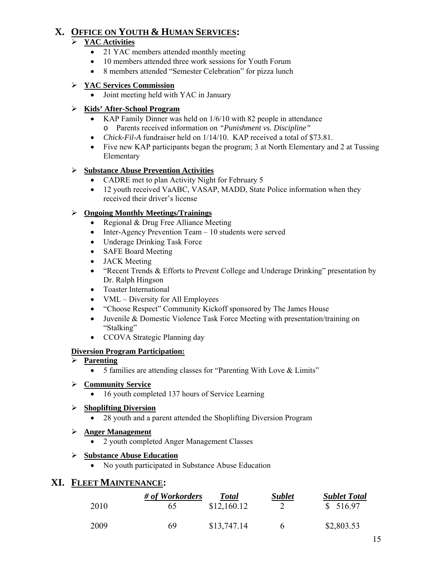## **X. OFFICE ON YOUTH & HUMAN SERVICES:**

## ¾ **YAC Activities**

- 21 YAC members attended monthly meeting
- 10 members attended three work sessions for Youth Forum
- 8 members attended "Semester Celebration" for pizza lunch

#### ¾ **YAC Services Commission**

• Joint meeting held with YAC in January

## ¾ **Kids' After-School Program**

- KAP Family Dinner was held on 1/6/10 with 82 people in attendance o Parents received information on *"Punishment vs. Discipline"*
- *Chick-Fil-A* fundraiser held on 1/14/10. KAP received a total of \$73.81.
- Five new KAP participants began the program; 3 at North Elementary and 2 at Tussing Elementary

## ¾ **Substance Abuse Prevention Activities**

- CADRE met to plan Activity Night for February 5
- 12 youth received VaABC, VASAP, MADD, State Police information when they received their driver's license

#### ¾ **Ongoing Monthly Meetings/Trainings**

- Regional & Drug Free Alliance Meeting
- Inter-Agency Prevention Team 10 students were served
- Underage Drinking Task Force
- SAFE Board Meeting
- JACK Meeting
- "Recent Trends & Efforts to Prevent College and Underage Drinking" presentation by Dr. Ralph Hingson
- Toaster International
- VML Diversity for All Employees
- "Choose Respect" Community Kickoff sponsored by The James House
- Juvenile & Domestic Violence Task Force Meeting with presentation/training on "Stalking"
- CCOVA Strategic Planning day

## **Diversion Program Participation:**

- ¾ **Parenting**
	- 5 families are attending classes for "Parenting With Love & Limits"

## ¾ **Community Service**

16 youth completed 137 hours of Service Learning

## ¾ **Shoplifting Diversion**

• 28 youth and a parent attended the Shoplifting Diversion Program

## ¾ **Anger Management**

• 2 youth completed Anger Management Classes

## ¾ **Substance Abuse Education**

• No youth participated in Substance Abuse Education

## **XI. FLEET MAINTENANCE:**

|      | # of Workorders | Total       | <b>Sublet</b> | <b>Sublet Total</b> |
|------|-----------------|-------------|---------------|---------------------|
| 2010 | 65              | \$12,160.12 |               | \$516.97            |
| 2009 | 69              | \$13,747.14 | 6             | \$2,803.53          |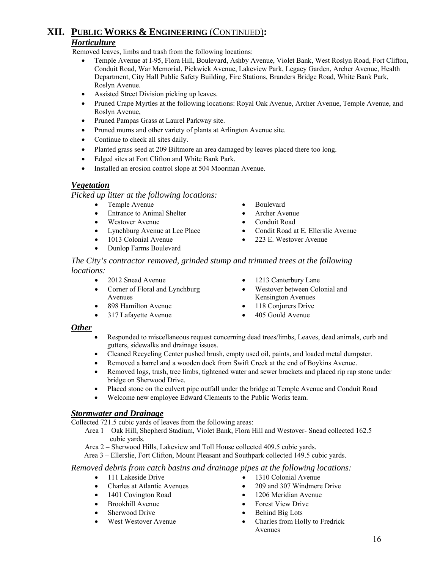## **XII. PUBLIC WORKS & ENGINEERING** (CONTINUED)**:** *Horticulture*

Removed leaves, limbs and trash from the following locations:

- Temple Avenue at I-95, Flora Hill, Boulevard, Ashby Avenue, Violet Bank, West Roslyn Road, Fort Clifton, Conduit Road, War Memorial, Pickwick Avenue, Lakeview Park, Legacy Garden, Archer Avenue, Health Department, City Hall Public Safety Building, Fire Stations, Branders Bridge Road, White Bank Park, Roslyn Avenue.
- Assisted Street Division picking up leaves.
- Pruned Crape Myrtles at the following locations: Royal Oak Avenue, Archer Avenue, Temple Avenue, and Roslyn Avenue,
- Pruned Pampas Grass at Laurel Parkway site.
- Pruned mums and other variety of plants at Arlington Avenue site.
- Continue to check all sites daily.
- Planted grass seed at 209 Biltmore an area damaged by leaves placed there too long.
- Edged sites at Fort Clifton and White Bank Park.
- Installed an erosion control slope at 504 Moorman Avenue.

#### *Vegetation*

*Picked up litter at the following locations:* 

- Temple Avenue Boulevard
- Entrance to Animal Shelter Archer Avenue
- 
- 
- 
- Dunlop Farms Boulevard
- 
- 
- Westover Avenue Conduit Road
- Lynchburg Avenue at Lee Place Condit Road at E. Ellerslie Avenue
- 1013 Colonial Avenue 223 E. Westover Avenue

#### *The City's contractor removed, grinded stump and trimmed trees at the following locations:*

- 
- Corner of Floral and Lynchburg Avenues
- 
- 
- 2012 Snead Avenue 1213 Canterbury Lane
	- Westover between Colonial and Kensington Avenues
	- 898 Hamilton Avenue 118 Conjurers Drive
	- 317 Lafayette Avenue 405 Gould Avenue

#### *Other*

- Responded to miscellaneous request concerning dead trees/limbs, Leaves, dead animals, curb and gutters, sidewalks and drainage issues.
- Cleaned Recycling Center pushed brush, empty used oil, paints, and loaded metal dumpster.
- Removed a barrel and a wooden dock from Swift Creek at the end of Boykins Avenue.
- Removed logs, trash, tree limbs, tightened water and sewer brackets and placed rip rap stone under bridge on Sherwood Drive.
- Placed stone on the culvert pipe outfall under the bridge at Temple Avenue and Conduit Road
- Welcome new employee Edward Clements to the Public Works team.

## *Stormwater and Drainage*

Collected 721.5 cubic yards of leaves from the following areas:

 Area 1 – Oak Hill, Shepherd Stadium, Violet Bank, Flora Hill and Westover- Snead collected 162.5 cubic yards.

Area 2 – Sherwood Hills, Lakeview and Toll House collected 409.5 cubic yards.

Area 3 – Ellerslie, Fort Clifton, Mount Pleasant and Southpark collected 149.5 cubic yards.

#### *Removed debris from catch basins and drainage pipes at the following locations:*

- 
- 
- 
- 
- 
- 
- 111 Lakeside Drive 1310 Colonial Avenue
	- Charles at Atlantic Avenues 209 and 307 Windmere Drive
	- 1401 Covington Road 1206 Meridian Avenue
	- Brookhill Avenue Forest View Drive
	- Sherwood Drive Behind Big Lots
	- West Westover Avenue Charles from Holly to Fredrick Avenues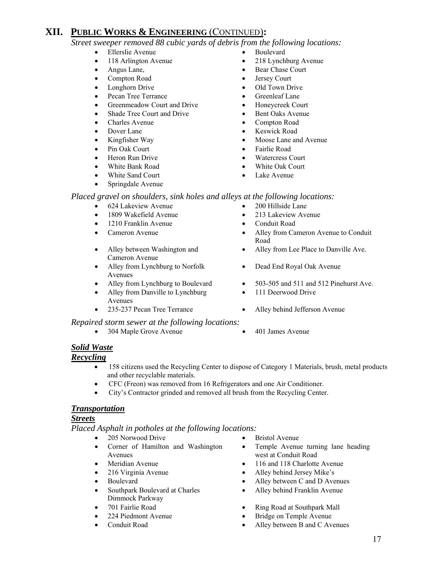*Street sweeper removed 88 cubic yards of debris from the following locations:* 

- Ellerslie Avenue Boulevard
- 
- 
- 
- 
- Pecan Tree Terrance Greenleaf Lane
- Greenmeadow Court and Drive Honeycreek Court
- Shade Tree Court and Drive Bent Oaks Avenue
- 
- 
- 
- 
- 
- 
- White Sand Court Lake Avenue
- Springdale Avenue
- 
- 118 Arlington Avenue 218 Lynchburg Avenue
- Angus Lane, Bear Chase Court
- Compton Road Jersey Court
- Longhorn Drive Old Town Drive
	-
	-
	-
- Charles Avenue Compton Road
- **Pover Lane** Keswick Road
- Kingfisher Way Moose Lane and Avenue
- Pin Oak Court Fairlie Road
- **From Run Drive Watercress Court**
- White Bank Road White Oak Court
	-

#### *Placed gravel on shoulders, sink holes and alleys at the following locations:*

- 624 Lakeview Avenue 200 Hillside Lane
- 1809 Wakefield Avenue 213 Lakeview Avenue
- 1210 Franklin Avenue Conduit Road
- 
- Alley between Washington and Cameron Avenue
- Alley from Lynchburg to Norfolk Avenues
- 
- Alley from Danville to Lynchburg Avenues
- 

#### *Repaired storm sewer at the following locations:*

• 304 Maple Grove Avenue • 401 James Avenue

- 
- 
- 
- Cameron Avenue Alley from Cameron Avenue to Conduit Road
	- Alley from Lee Place to Danville Ave.
	- Dead End Royal Oak Avenue
- Alley from Lynchburg to Boulevard 503-505 and 511 and 512 Pinehurst Ave.
	- 111 Deerwood Drive
- 235-237 Pecan Tree Terrance Alley behind Jefferson Avenue
	-

#### *Solid Waste*

#### *Recycling*

- 158 citizens used the Recycling Center to dispose of Category 1 Materials, brush, metal products and other recyclable materials.
- CFC (Freon) was removed from 16 Refrigerators and one Air Conditioner.
- City's Contractor grinded and removed all brush from the Recycling Center.

#### *Transportation*

#### *Streets*

*Placed Asphalt in potholes at the following locations:* 

- 205 Norwood Drive Bristol Avenue
- Corner of Hamilton and Washington Avenues
- 
- 
- 
- Southpark Boulevard at Charles Dimmock Parkway
- 
- 
- 
- 
- Temple Avenue turning lane heading west at Conduit Road
- Meridian Avenue 116 and 118 Charlotte Avenue
- 216 Virginia Avenue Alley behind Jersey Mike's
- Boulevard Alley between C and D Avenues
	- Alley behind Franklin Avenue
- 701 Fairlie Road  **Ring Road at Southpark Mall**
- 224 Piedmont Avenue Bridge on Temple Avenue
- Conduit Road Alley between B and C Avenues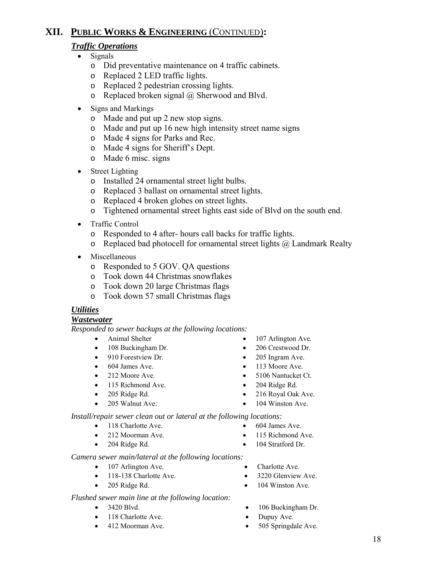## *Traffic Operations*

- Signals
	- o Did preventative maintenance on 4 traffic cabinets.
	- o Replaced 2 LED traffic lights.
	- o Replaced 2 pedestrian crossing lights.
	- $\circ$  Replaced broken signal  $(a)$  Sherwood and Blvd.
- Signs and Markings
	- o Made and put up 2 new stop signs.
	- o Made and put up 16 new high intensity street name signs
	- o Made 4 signs for Parks and Rec.
	- o Made 4 signs for Sheriff's Dept.
	- o Made 6 misc. signs
- Street Lighting
	- o Installed 24 ornamental street light bulbs.
	- o Replaced 3 ballast on ornamental street lights.
	- o Replaced 4 broken globes on street lights.
	- o Tightened ornamental street lights east side of Blvd on the south end.
- Traffic Control
	- o Responded to 4 after- hours call backs for traffic lights.
	- $\circ$  Replaced bad photocell for ornamental street lights  $\alpha$  Landmark Realty
- Miscellaneous
	- o Responded to 5 GOV. QA questions
	- o Took down 44 Christmas snowflakes
	- o Took down 20 large Christmas flags
	- o Took down 57 small Christmas flags

## *Utilities*

#### *Wastewater*

*Responded to sewer backups at the following locations:*

- 
- 108 Buckingham Dr. 206 Crestwood Dr.
- 910 Forestview Dr. 205 Ingram Ave.
- 
- 
- 115 Richmond Ave. 204 Ridge Rd.
- 
- 
- Animal Shelter 107 Arlington Ave.
	-
	-
- 604 James Ave. 113 Moore Ave.
- 212 Moore Ave. 5106 Nantucket Ct.
	-
- 205 Ridge Rd. 216 Royal Oak Ave.
- 205 Walnut Ave. 104 Winston Ave.

*Install/repair sewer clean out or lateral at the following locations:* 

- 
- 
- 
- *Camera sewer main/lateral at the following locations:*
	- 107 Arlington Ave. Charlotte Ave.
	- 118-138 Charlotte Ave. 3220 Glenview Ave.
	-

#### *Flushed sewer main line at the following location:*

- 
- 118 Charlotte Ave. Dupuy Ave.
- 
- 
- 
- 
- 
- 3420 Blvd. 106 Buckingham Dr.
	-
- 412 Moorman Ave. 505 Springdale Ave.
- 118 Charlotte Ave. 604 James Ave. • 212 Moorman Ave. • 115 Richmond Ave.
	-
- 204 Ridge Rd. 104 Stratford Dr.
	-
	-
	-
- 205 Ridge Rd. 104 Winston Ave.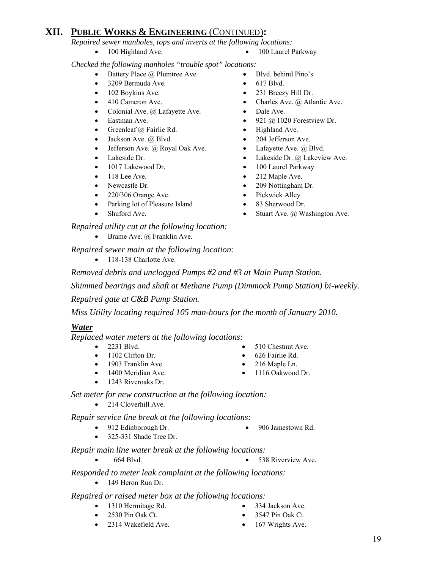*Repaired sewer manholes, tops and inverts at the following locations:* 

- 100 Highland Ave. 100 Laurel Parkway
- 

*Checked the following manholes "trouble spot" locations:* 

- Battery Place @ Plumtree Ave. Blvd. behind Pino's
- 3209 Bermuda Ave. 617 Blvd.
- 102 Boykins Ave. 231 Breezy Hill Dr.
- $410$  Cameron Ave. Charles Ave. @ Atlantic Ave.
- Colonial Ave. @ Lafayette Ave. Dale Ave.
- Eastman Ave. 921 @ 1020 Forestview Dr.
- Greenleaf @ Fairlie Rd. Highland Ave.
- Jackson Ave. @ Blvd. 204 Jefferson Ave.
- Jefferson Ave. @ Royal Oak Ave. Lafayette Ave. @ Blvd.
- 
- 1017 Lakewood Dr. 100 Laurel Parkway
- 
- 
- 220/306 Orange Ave. Pickwick Alley
- Parking lot of Pleasure Island 83 Sherwood Dr.
- 

 *Repaired utility cut at the following location:* 

• Brame Ave. @ Franklin Ave.

 *Repaired sewer main at the following location:* 

• 118-138 Charlotte Ave.

*Removed debris and unclogged Pumps #2 and #3 at Main Pump Station.* 

*Shimmed bearings and shaft at Methane Pump (Dimmock Pump Station) bi-weekly.* 

 *Repaired gate at C&B Pump Station.* 

 *Miss Utility locating required 105 man-hours for the month of January 2010.* 

## *Water*

*Replaced water meters at the following locations:* 

- 
- 1102 Clifton Dr. 626 Fairlie Rd.
- 1903 Franklin Ave. 216 Maple Ln.
- 
- 1243 Riveroaks Dr.

 *Set meter for new construction at the following location:* 

• 214 Cloverhill Ave.

 *Repair service line break at the following locations:* 

- 912 Edinborough Dr. 906 Jamestown Rd.
- 325-331 Shade Tree Dr.

 *Repair main line water break at the following locations:* 

• 664 Blvd. • 538 Riverview Ave.

 *Responded to meter leak complaint at the following locations:* 

• 149 Heron Run Dr.

 *Repaired or raised meter box at the following locations:* 

- 1310 Hermitage Rd. 334 Jackson Ave.
- 2530 Pin Oak Ct. 3547 Pin Oak Ct.
	-
- 
- 
- 2314 Wakefield Ave. 167 Wrights Ave.
- 19
- 2231 Blvd. 510 Chestnut Ave.
	-
	-
	-
- -
- 
- 1400 Meridian Ave. 1116 Oakwood Dr.
- 
- 
- 

- 
- 
- 
- Lakeside Dr. Lakeside Dr. @ Lakeview Ave.
	-
- 118 Lee Ave. 212 Maple Ave.
- Newcastle Dr. 209 Nottingham Dr.
	-
	-
- Shuford Ave. Shuford Ave. Stuart Ave. @ Washington Ave.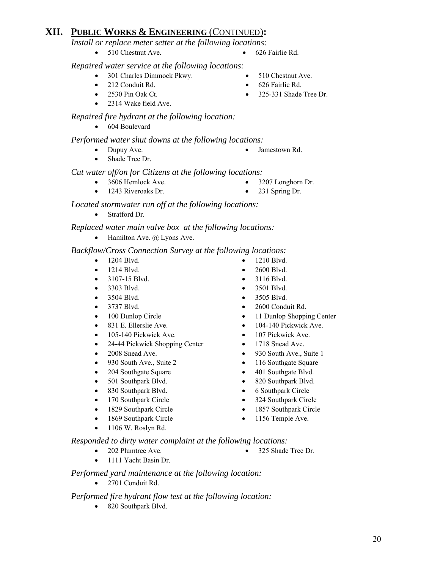*Install or replace meter setter at the following locations:*

• 510 Chestnut Ave. • 626 Fairlie Rd.

 *Repaired water service at the following locations:* 

- 301 Charles Dimmock Pkwy. 510 Chestnut Ave.
- 
- 
- 2314 Wake field Ave.

## *Repaired fire hydrant at the following location:*

• 604 Boulevard

## *Performed water shut downs at the following locations:*

- Dupuy Ave. Jamestown Rd.
- Shade Tree Dr.

 *Cut water off/on for Citizens at the following locations:* 

- 3606 Hemlock Ave. 3207 Longhorn Dr.
- 1243 Riveroaks Dr. 231 Spring Dr.

## *Located stormwater run off at the following locations:*

• Stratford Dr.

 *Replaced water main valve box at the following locations:* 

• Hamilton Ave.  $\omega$  Lyons Ave.

## *Backflow/Cross Connection Survey at the following locations:*

- 1204 Blvd. 1210 Blvd.
- 
- 
- 
- 
- 
- 
- 
- 105-140 Pickwick Ave. 107 Pickwick Ave.
- 24-44 Pickwick Shopping Center 1718 Snead Ave.
- 
- 
- 
- 
- 
- 170 Southpark Circle 324 Southpark Circle
- 
- 1869 Southpark Circle 1156 Temple Ave.
- 1106 W. Roslyn Rd.
- 
- 1214 Blvd. 2600 Blvd.
- 3107-15 Blvd. 3116 Blvd.
- 3303 Blvd. 3501 Blvd.
- 3504 Blvd. 3505 Blvd.
- 3737 Blvd. 2600 Conduit Rd.
- 100 Dunlop Circle 11 Dunlop Shopping Center
	- 831 E. Ellerslie Ave. 104-140 Pickwick Ave.
		-
		-
	- 2008 Snead Ave. 930 South Ave., Suite 1
	- 930 South Ave., Suite 2 116 Southgate Square
	- 204 Southgate Square 401 Southgate Blvd.
		-
	- 830 Southpark Blvd. 6 Southpark Circle
		-
	- 1829 Southpark Circle 1857 Southpark Circle
		-

 *Responded to dirty water complaint at the following locations:* 

- 202 Plumtree Ave. 325 Shade Tree Dr.
- 1111 Yacht Basin Dr.
- 

*Performed yard maintenance at the following location:* 

• 2701 Conduit Rd.

## *Performed fire hydrant flow test at the following location:*

• 820 Southpark Blvd.

- 
- 
- 
- 
- 
- 
- 
- 
- 
- 
- 501 Southpark Blvd. 820 Southpark Blvd.
	-
	-
	-
	-
- 
- 
- 212 Conduit Rd. **•** 626 Fairlie Rd.
- 2530 Pin Oak Ct. 325-331 Shade Tree Dr.